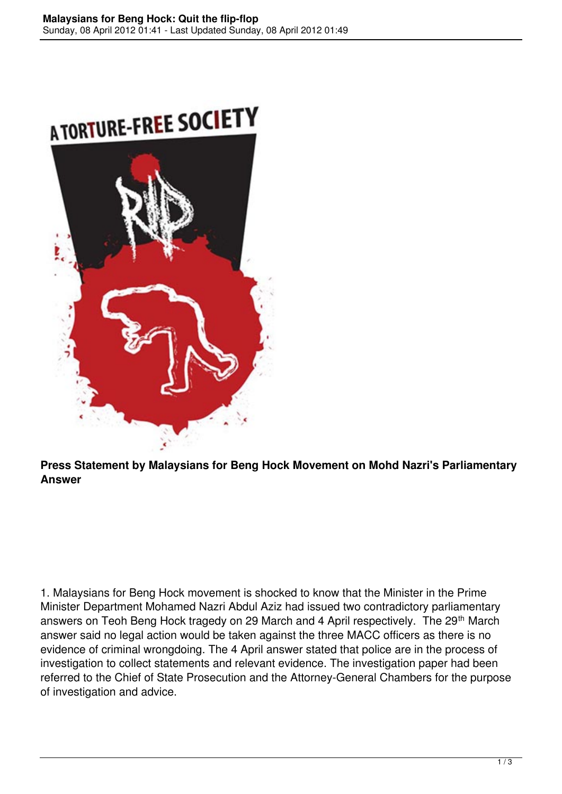



**Press Statement by Malaysians for Beng Hock Movement on Mohd Nazri's Parliamentary Answer**

1. Malaysians for Beng Hock movement is shocked to know that the Minister in the Prime Minister Department Mohamed Nazri Abdul Aziz had issued two contradictory parliamentary answers on Teoh Beng Hock tragedy on 29 March and 4 April respectively. The 29<sup>th</sup> March answer said no legal action would be taken against the three MACC officers as there is no evidence of criminal wrongdoing. The 4 April answer stated that police are in the process of investigation to collect statements and relevant evidence. The investigation paper had been referred to the Chief of State Prosecution and the Attorney-General Chambers for the purpose of investigation and advice.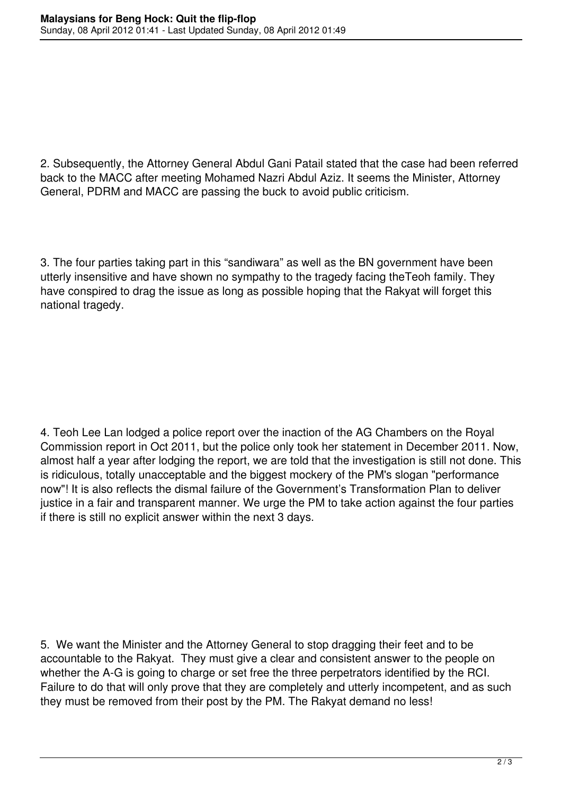2. Subsequently, the Attorney General Abdul Gani Patail stated that the case had been referred back to the MACC after meeting Mohamed Nazri Abdul Aziz. It seems the Minister, Attorney General, PDRM and MACC are passing the buck to avoid public criticism.

3. The four parties taking part in this "sandiwara" as well as the BN government have been utterly insensitive and have shown no sympathy to the tragedy facing theTeoh family. They have conspired to drag the issue as long as possible hoping that the Rakyat will forget this national tragedy.

4. Teoh Lee Lan lodged a police report over the inaction of the AG Chambers on the Royal Commission report in Oct 2011, but the police only took her statement in December 2011. Now, almost half a year after lodging the report, we are told that the investigation is still not done. This is ridiculous, totally unacceptable and the biggest mockery of the PM's slogan "performance now"! It is also reflects the dismal failure of the Government's Transformation Plan to deliver justice in a fair and transparent manner. We urge the PM to take action against the four parties if there is still no explicit answer within the next 3 days.

5. We want the Minister and the Attorney General to stop dragging their feet and to be accountable to the Rakyat. They must give a clear and consistent answer to the people on whether the A-G is going to charge or set free the three perpetrators identified by the RCI. Failure to do that will only prove that they are completely and utterly incompetent, and as such they must be removed from their post by the PM. The Rakyat demand no less!